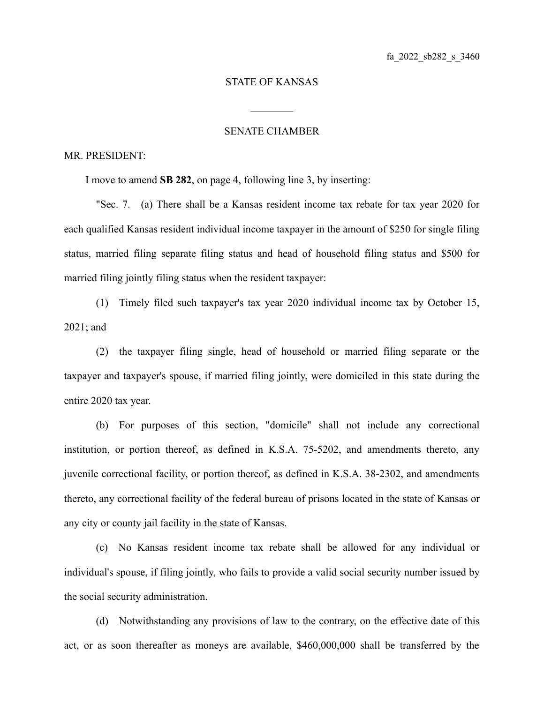## STATE OF KANSAS

 $\mathcal{L}_\text{max}$ 

## SENATE CHAMBER

## MR. PRESIDENT:

I move to amend **SB 282**, on page 4, following line 3, by inserting:

"Sec. 7. (a) There shall be a Kansas resident income tax rebate for tax year 2020 for each qualified Kansas resident individual income taxpayer in the amount of \$250 for single filing status, married filing separate filing status and head of household filing status and \$500 for married filing jointly filing status when the resident taxpayer:

(1) Timely filed such taxpayer's tax year 2020 individual income tax by October 15, 2021; and

(2) the taxpayer filing single, head of household or married filing separate or the taxpayer and taxpayer's spouse, if married filing jointly, were domiciled in this state during the entire 2020 tax year.

(b) For purposes of this section, "domicile" shall not include any correctional institution, or portion thereof, as defined in K.S.A. 75-5202, and amendments thereto, any juvenile correctional facility, or portion thereof, as defined in K.S.A. 38-2302, and amendments thereto, any correctional facility of the federal bureau of prisons located in the state of Kansas or any city or county jail facility in the state of Kansas.

(c) No Kansas resident income tax rebate shall be allowed for any individual or individual's spouse, if filing jointly, who fails to provide a valid social security number issued by the social security administration.

(d) Notwithstanding any provisions of law to the contrary, on the effective date of this act, or as soon thereafter as moneys are available, \$460,000,000 shall be transferred by the